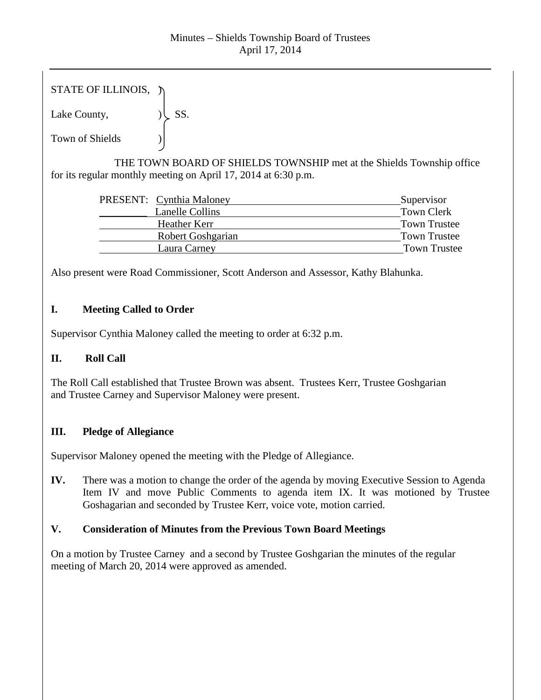## Minutes – Shields Township Board of Trustees April 17, 2014

| STATE OF ILLINOIS, $\lambda$ |            |
|------------------------------|------------|
| Lake County,                 | $\cup$ SS. |

Town of Shields  $\qquad$  )

THE TOWN BOARD OF SHIELDS TOWNSHIP met at the Shields Township office for its regular monthly meeting on April 17, 2014 at 6:30 p.m.

| PRESENT: Cynthia Maloney | Supervisor          |
|--------------------------|---------------------|
| Lanelle Collins          | <b>Town Clerk</b>   |
| Heather Kerr             | <b>Town Trustee</b> |
| Robert Goshgarian        | <b>Town Trustee</b> |
| Laura Carney             | <b>Town Trustee</b> |

Also present were Road Commissioner, Scott Anderson and Assessor, Kathy Blahunka.

# **I. Meeting Called to Order**

Supervisor Cynthia Maloney called the meeting to order at 6:32 p.m.

## **II. Roll Call**

The Roll Call established that Trustee Brown was absent. Trustees Kerr, Trustee Goshgarian and Trustee Carney and Supervisor Maloney were present.

## **III. Pledge of Allegiance**

Supervisor Maloney opened the meeting with the Pledge of Allegiance.

**IV.** There was a motion to change the order of the agenda by moving Executive Session to Agenda Item IV and move Public Comments to agenda item IX. It was motioned by Trustee Goshagarian and seconded by Trustee Kerr, voice vote, motion carried.

## **V. Consideration of Minutes from the Previous Town Board Meetings**

On a motion by Trustee Carney and a second by Trustee Goshgarian the minutes of the regular meeting of March 20, 2014 were approved as amended.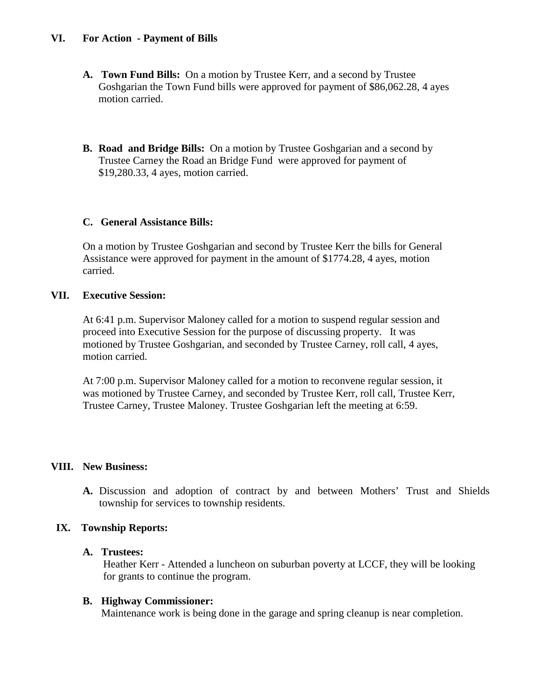## **VI. For Action - Payment of Bills**

- **A. Town Fund Bills:** On a motion by Trustee Kerr, and a second by Trustee Goshgarian the Town Fund bills were approved for payment of \$86,062.28, 4 ayes motion carried.
- **B. Road and Bridge Bills:** On a motion by Trustee Goshgarian and a second by Trustee Carney the Road an Bridge Fund were approved for payment of \$19,280.33, 4 ayes, motion carried.

### **C. General Assistance Bills:**

On a motion by Trustee Goshgarian and second by Trustee Kerr the bills for General Assistance were approved for payment in the amount of \$1774.28, 4 ayes, motion carried.

### **VII. Executive Session:**

At 6:41 p.m. Supervisor Maloney called for a motion to suspend regular session and proceed into Executive Session for the purpose of discussing property. It was motioned by Trustee Goshgarian, and seconded by Trustee Carney, roll call, 4 ayes, motion carried.

At 7:00 p.m. Supervisor Maloney called for a motion to reconvene regular session, it was motioned by Trustee Carney, and seconded by Trustee Kerr, roll call, Trustee Kerr, Trustee Carney, Trustee Maloney. Trustee Goshgarian left the meeting at 6:59.

### **VIII. New Business:**

**A.** Discussion and adoption of contract by and between Mothers' Trust and Shields township for services to township residents.

## **IX. Township Reports:**

### **A. Trustees:**

Heather Kerr - Attended a luncheon on suburban poverty at LCCF, they will be looking for grants to continue the program.

### **B. Highway Commissioner:**

Maintenance work is being done in the garage and spring cleanup is near completion.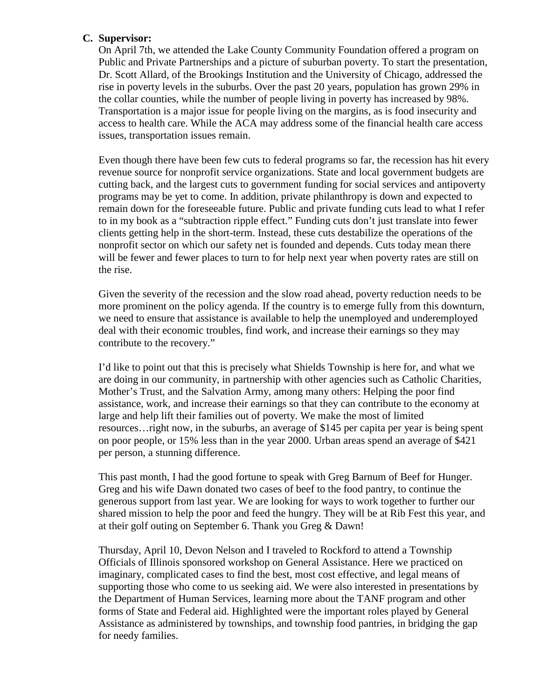### **C. Supervisor:**

On April 7th, we attended the Lake County Community Foundation offered a program on Public and Private Partnerships and a picture of suburban poverty. To start the presentation, Dr. Scott Allard, of the Brookings Institution and the University of Chicago, addressed the rise in poverty levels in the suburbs. Over the past 20 years, population has grown 29% in the collar counties, while the number of people living in poverty has increased by 98%. Transportation is a major issue for people living on the margins, as is food insecurity and access to health care. While the ACA may address some of the financial health care access issues, transportation issues remain.

Even though there have been few cuts to federal programs so far, the recession has hit every revenue source for nonprofit service organizations. State and local government budgets are cutting back, and the largest cuts to government funding for social services and antipoverty programs may be yet to come. In addition, private philanthropy is down and expected to remain down for the foreseeable future. Public and private funding cuts lead to what I refer to in my book as a "subtraction ripple effect." Funding cuts don't just translate into fewer clients getting help in the short-term. Instead, these cuts destabilize the operations of the nonprofit sector on which our safety net is founded and depends. Cuts today mean there will be fewer and fewer places to turn to for help next year when poverty rates are still on the rise.

Given the severity of the recession and the slow road ahead, poverty reduction needs to be more prominent on the policy agenda. If the country is to emerge fully from this downturn, we need to ensure that assistance is available to help the unemployed and underemployed deal with their economic troubles, find work, and increase their earnings so they may contribute to the recovery."

I'd like to point out that this is precisely what Shields Township is here for, and what we are doing in our community, in partnership with other agencies such as Catholic Charities, Mother's Trust, and the Salvation Army, among many others: Helping the poor find assistance, work, and increase their earnings so that they can contribute to the economy at large and help lift their families out of poverty. We make the most of limited resources…right now, in the suburbs, an average of \$145 per capita per year is being spent on poor people, or 15% less than in the year 2000. Urban areas spend an average of \$421 per person, a stunning difference.

This past month, I had the good fortune to speak with Greg Barnum of Beef for Hunger. Greg and his wife Dawn donated two cases of beef to the food pantry, to continue the generous support from last year. We are looking for ways to work together to further our shared mission to help the poor and feed the hungry. They will be at Rib Fest this year, and at their golf outing on September 6. Thank you Greg & Dawn!

Thursday, April 10, Devon Nelson and I traveled to Rockford to attend a Township Officials of Illinois sponsored workshop on General Assistance. Here we practiced on imaginary, complicated cases to find the best, most cost effective, and legal means of supporting those who come to us seeking aid. We were also interested in presentations by the Department of Human Services, learning more about the TANF program and other forms of State and Federal aid. Highlighted were the important roles played by General Assistance as administered by townships, and township food pantries, in bridging the gap for needy families.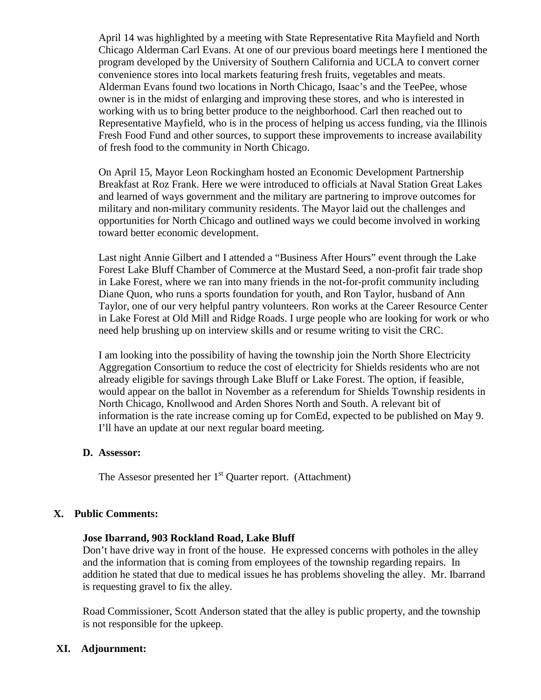April 14 was highlighted by a meeting with State Representative Rita Mayfield and North Chicago Alderman Carl Evans. At one of our previous board meetings here I mentioned the program developed by the University of Southern California and UCLA to convert corner convenience stores into local markets featuring fresh fruits, vegetables and meats. Alderman Evans found two locations in North Chicago, Isaac's and the TeePee, whose owner is in the midst of enlarging and improving these stores, and who is interested in working with us to bring better produce to the neighborhood. Carl then reached out to Representative Mayfield, who is in the process of helping us access funding, via the Illinois Fresh Food Fund and other sources, to support these improvements to increase availability of fresh food to the community in North Chicago.

On April 15, Mayor Leon Rockingham hosted an Economic Development Partnership Breakfast at Roz Frank. Here we were introduced to officials at Naval Station Great Lakes and learned of ways government and the military are partnering to improve outcomes for military and non-military community residents. The Mayor laid out the challenges and opportunities for North Chicago and outlined ways we could become involved in working toward better economic development.

Last night Annie Gilbert and I attended a "Business After Hours" event through the Lake Forest Lake Bluff Chamber of Commerce at the Mustard Seed, a non-profit fair trade shop in Lake Forest, where we ran into many friends in the not-for-profit community including Diane Quon, who runs a sports foundation for youth, and Ron Taylor, husband of Ann Taylor, one of our very helpful pantry volunteers. Ron works at the Career Resource Center in Lake Forest at Old Mill and Ridge Roads. I urge people who are looking for work or who need help brushing up on interview skills and or resume writing to visit the CRC.

I am looking into the possibility of having the township join the North Shore Electricity Aggregation Consortium to reduce the cost of electricity for Shields residents who are not already eligible for savings through Lake Bluff or Lake Forest. The option, if feasible, would appear on the ballot in November as a referendum for Shields Township residents in North Chicago, Knollwood and Arden Shores North and South. A relevant bit of information is the rate increase coming up for ComEd, expected to be published on May 9. I'll have an update at our next regular board meeting.

#### **D. Assessor:**

The Assesor presented her  $1<sup>st</sup>$  Quarter report. (Attachment)

#### **X. Public Comments:**

#### **Jose Ibarrand, 903 Rockland Road, Lake Bluff**

Don't have drive way in front of the house. He expressed concerns with potholes in the alley and the information that is coming from employees of the township regarding repairs. In addition he stated that due to medical issues he has problems shoveling the alley. Mr. Ibarrand is requesting gravel to fix the alley.

Road Commissioner, Scott Anderson stated that the alley is public property, and the township is not responsible for the upkeep.

### **XI. Adjournment:**